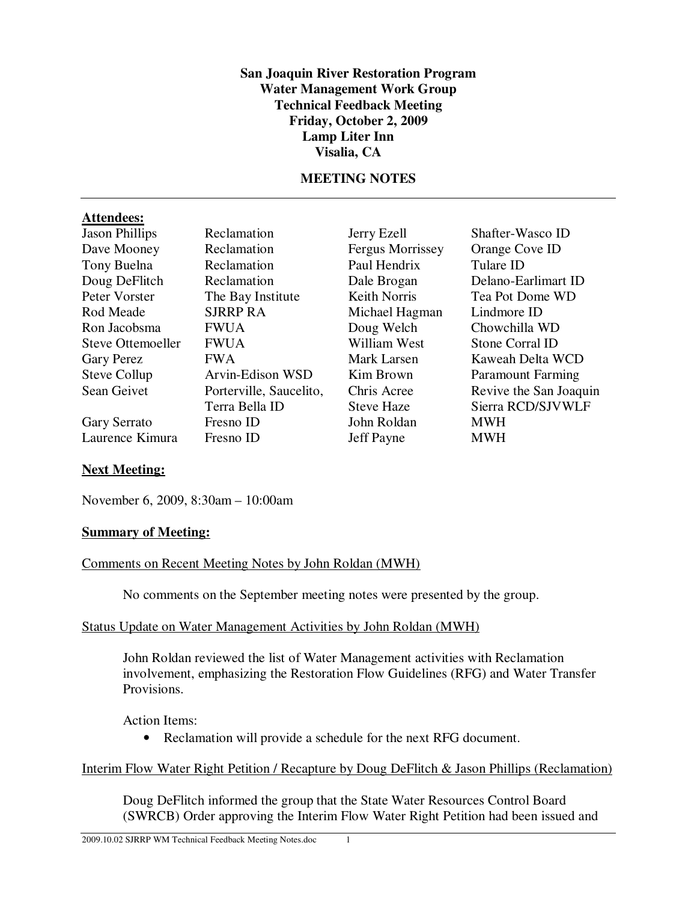#### **San Joaquin River Restoration Program Water Management Work Group Technical Feedback Meeting Friday, October 2, 2009 Lamp Liter Inn Visalia, CA**

### **MEETING NOTES**

#### **Attendees:**

| <b>Jason Phillips</b> | Reclamation             |
|-----------------------|-------------------------|
| Dave Mooney           | Reclamation             |
| Tony Buelna           | Reclamation             |
| Doug DeFlitch         | Reclamation             |
| Peter Vorster         | The Bay Institute       |
| Rod Meade             | <b>SJRRP RA</b>         |
| Ron Jacobsma          | <b>FWUA</b>             |
| Steve Ottemoeller     | <b>FWUA</b>             |
| <b>Gary Perez</b>     | <b>FWA</b>              |
| <b>Steve Collup</b>   | Arvin-Edison WSD        |
| Sean Geivet           | Porterville, Saucelito, |
|                       | Terra Bella ID          |
| Gary Serrato          | Fresno ID               |
| Laurence Kimura       | Fresno ID               |

Fergus Morrissey Orange Cove ID Paul Hendrix Tulare ID Michael Hagman Doug Welch Chowchilla WD William West Stone Corral ID John Roldan MWH Jeff Payne MWH

Jerry Ezell Shafter-Wasco ID Dale Brogan Delano-Earlimart ID Keith Norris Tea Pot Dome WD<br>Michael Hagman Lindmore ID Mark Larsen Kaweah Delta WCD Kim Brown Paramount Farming Chris Acree Revive the San Joaquin Steve Haze Sierra RCD/SJVWLF

# **Next Meeting:**

November 6, 2009, 8:30am – 10:00am

#### **Summary of Meeting:**

#### Comments on Recent Meeting Notes by John Roldan (MWH)

No comments on the September meeting notes were presented by the group.

#### Status Update on Water Management Activities by John Roldan (MWH)

John Roldan reviewed the list of Water Management activities with Reclamation involvement, emphasizing the Restoration Flow Guidelines (RFG) and Water Transfer Provisions.

Action Items:

• Reclamation will provide a schedule for the next RFG document.

# Interim Flow Water Right Petition / Recapture by Doug DeFlitch & Jason Phillips (Reclamation)

Doug DeFlitch informed the group that the State Water Resources Control Board (SWRCB) Order approving the Interim Flow Water Right Petition had been issued and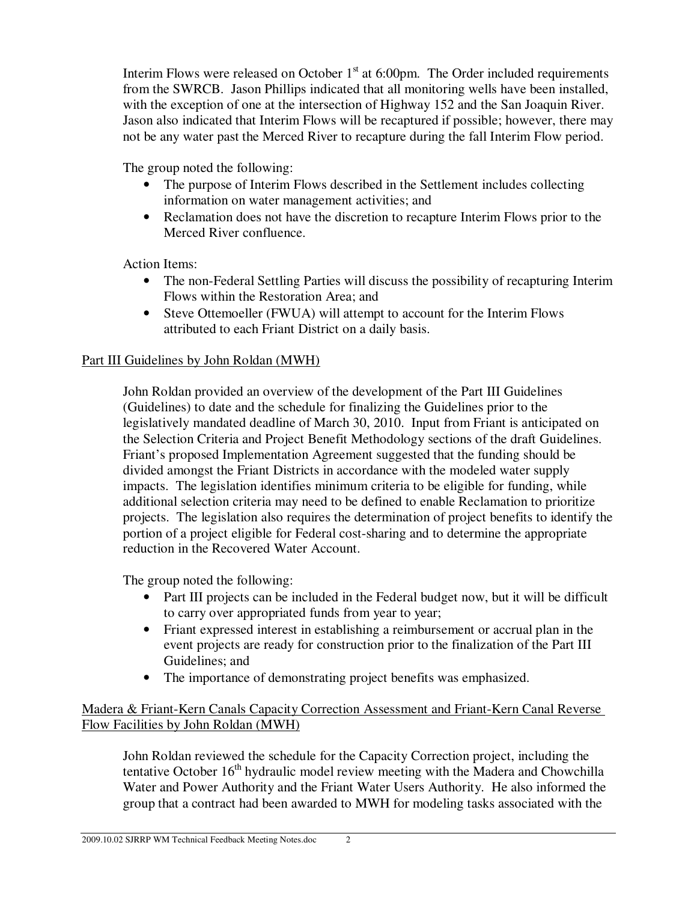Interim Flows were released on October  $1<sup>st</sup>$  at 6:00pm. The Order included requirements from the SWRCB. Jason Phillips indicated that all monitoring wells have been installed, with the exception of one at the intersection of Highway 152 and the San Joaquin River. Jason also indicated that Interim Flows will be recaptured if possible; however, there may not be any water past the Merced River to recapture during the fall Interim Flow period.

The group noted the following:

- The purpose of Interim Flows described in the Settlement includes collecting information on water management activities; and
- Reclamation does not have the discretion to recapture Interim Flows prior to the Merced River confluence.

Action Items:

- The non-Federal Settling Parties will discuss the possibility of recapturing Interim Flows within the Restoration Area; and
- Steve Ottemoeller (FWUA) will attempt to account for the Interim Flows attributed to each Friant District on a daily basis.

# Part III Guidelines by John Roldan (MWH)

John Roldan provided an overview of the development of the Part III Guidelines (Guidelines) to date and the schedule for finalizing the Guidelines prior to the legislatively mandated deadline of March 30, 2010. Input from Friant is anticipated on the Selection Criteria and Project Benefit Methodology sections of the draft Guidelines. Friant's proposed Implementation Agreement suggested that the funding should be divided amongst the Friant Districts in accordance with the modeled water supply impacts. The legislation identifies minimum criteria to be eligible for funding, while additional selection criteria may need to be defined to enable Reclamation to prioritize projects. The legislation also requires the determination of project benefits to identify the portion of a project eligible for Federal cost-sharing and to determine the appropriate reduction in the Recovered Water Account.

The group noted the following:

- Part III projects can be included in the Federal budget now, but it will be difficult to carry over appropriated funds from year to year;
- Friant expressed interest in establishing a reimbursement or accrual plan in the event projects are ready for construction prior to the finalization of the Part III Guidelines; and
- The importance of demonstrating project benefits was emphasized.

## Madera & Friant-Kern Canals Capacity Correction Assessment and Friant-Kern Canal Reverse Flow Facilities by John Roldan (MWH)

John Roldan reviewed the schedule for the Capacity Correction project, including the tentative October  $16<sup>th</sup>$  hydraulic model review meeting with the Madera and Chowchilla Water and Power Authority and the Friant Water Users Authority. He also informed the group that a contract had been awarded to MWH for modeling tasks associated with the